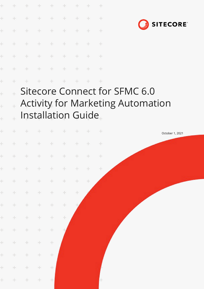| ÷                                                                   |  | + + + + + + + + |  |  |
|---------------------------------------------------------------------|--|-----------------|--|--|
| $\frac{1}{2} \left( \frac{1}{2} \right) \left( \frac{1}{2} \right)$ |  | + + + + + + +   |  |  |
| ÷                                                                   |  | + + + + + + +   |  |  |
| $+$                                                                 |  | + + + + + + + + |  |  |
| $+$                                                                 |  | + + + + + + + + |  |  |
| $\div$                                                              |  | + + + + + + +   |  |  |
| $+$                                                                 |  | + + + + + + +   |  |  |

÷

 $\ddot{}$ 

 $\ddot{}$ 



### Sitecore Connect for SFMC 6.0  $\ddot{\pm}$ Activity for Marketing Automation  $\ddot{\phantom{0}}$ Installation Guide

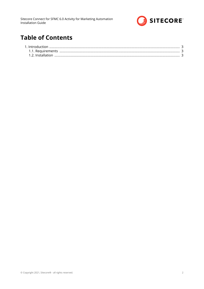

# **Table of Contents**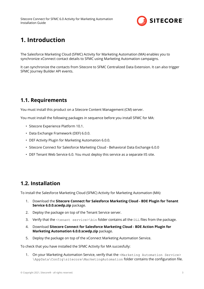

## <span id="page-2-0"></span>**1. Introduction**

The Salesforce Marketing Cloud (SFMC) Activity for Marketing Automation (MA) enables you to synchronize xConnect contact details to SFMC using Marketing Automation campaigns.

It can synchronize the contacts from Sitecore to SFMC Centralized Data Extension. It can also trigger SFMC Journey Builder API events.

### **1.1. Requirements**

You must install this product on a Sitecore Content Management (CM) server.

You must install the following packages in sequence before you install SFMC for MA:

- Sitecore Experience Platform 10.1.
- Data Exchange Framework (DEF) 6.0.0.
- DEF Activity Plugin for Marketing Automation 6.0.0.
- Sitecore Connect for Salesforce Marketing Cloud Behavioral Data Exchange 6.0.0
- DEF Tenant Web Service 6.0. You must deploy this service as a separate IIS site.

#### **1.2. Installation**

To install the Salesforce Marketing Cloud (SFMC) Activity for Marketing Automation (MA):

- 1. Download the **Sitecore Connect for Salesforce Marketing Cloud BDE Plugin for Tenant Service 6.0.0.scwdp.zip** package.
- 2. Deploy the package on top of the Tenant Service server.
- 3. Verify that the  $\t{t}$  service>\bin folder contains all the DLL files from the package.
- 4. Download **Sitecore Connect for Salesforce Marketing Cloud BDE Action Plugin for Marketing Automation 6.0.0.scwdp.zip** package.
- 5. Deploy the package on top of the xConnect Marketing Automation Service.

To check that you have installed the SFMC Activity for MA succesfully:

1. On your Marketing Automation Service, verify that the <Marketing Automation Service> \AppData\Config\sitecore\MarketingAutomation folder contains the configuration file.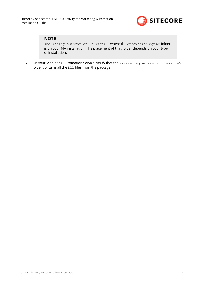

#### **NOTE**

<Marketing Automation Service> is where the AutomationEngine folder is on your MA installation. The placement of that folder depends on your type of installation.

2. On your Marketing Automation Service, verify that the <Marketing Automation Service> folder contains all the  $DLL$  files from the package.